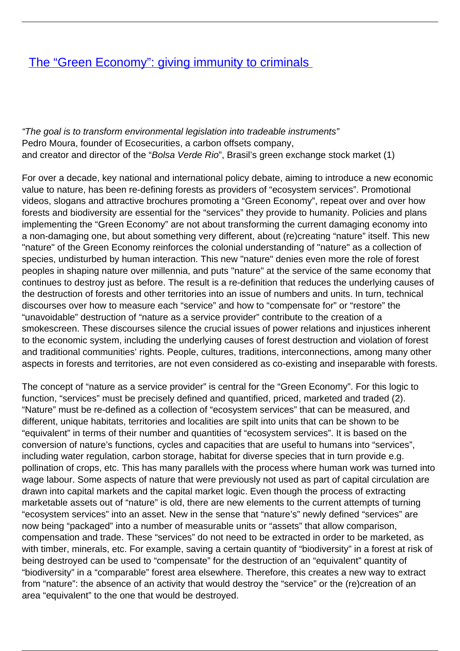## [The "Green Economy": giving immunity to criminals](/bulletin-articles/the-green-economy-giving-immunity-to-criminals)

"The goal is to transform environmental legislation into tradeable instruments" Pedro Moura, founder of Ecosecurities, a carbon offsets company, and creator and director of the "Bolsa Verde Rio", Brasil's green exchange stock market (1)

For over a decade, key national and international policy debate, aiming to introduce a new economic value to nature, has been re-defining forests as providers of "ecosystem services". Promotional videos, slogans and attractive brochures promoting a "Green Economy", repeat over and over how forests and biodiversity are essential for the "services" they provide to humanity. Policies and plans implementing the "Green Economy" are not about transforming the current damaging economy into a non-damaging one, but about something very different, about (re)creating "nature" itself. This new "nature" of the Green Economy reinforces the colonial understanding of "nature" as a collection of species, undisturbed by human interaction. This new "nature" denies even more the role of forest peoples in shaping nature over millennia, and puts "nature" at the service of the same economy that continues to destroy just as before. The result is a re-definition that reduces the underlying causes of the destruction of forests and other territories into an issue of numbers and units. In turn, technical discourses over how to measure each "service" and how to "compensate for" or "restore" the "unavoidable" destruction of "nature as a service provider" contribute to the creation of a smokescreen. These discourses silence the crucial issues of power relations and injustices inherent to the economic system, including the underlying causes of forest destruction and violation of forest and traditional communities' rights. People, cultures, traditions, interconnections, among many other aspects in forests and territories, are not even considered as co-existing and inseparable with forests.

The concept of "nature as a service provider" is central for the "Green Economy". For this logic to function, "services" must be precisely defined and quantified, priced, marketed and traded (2). "Nature" must be re-defined as a collection of "ecosystem services" that can be measured, and different, unique habitats, territories and localities are spilt into units that can be shown to be "equivalent" in terms of their number and quantities of "ecosystem services". It is based on the conversion of nature's functions, cycles and capacities that are useful to humans into "services", including water regulation, carbon storage, habitat for diverse species that in turn provide e.g. pollination of crops, etc. This has many parallels with the process where human work was turned into wage labour. Some aspects of nature that were previously not used as part of capital circulation are drawn into capital markets and the capital market logic. Even though the process of extracting marketable assets out of "nature" is old, there are new elements to the current attempts of turning "ecosystem services" into an asset. New in the sense that "nature's" newly defined "services" are now being "packaged" into a number of measurable units or "assets" that allow comparison, compensation and trade. These "services" do not need to be extracted in order to be marketed, as with timber, minerals, etc. For example, saving a certain quantity of "biodiversity" in a forest at risk of being destroyed can be used to "compensate" for the destruction of an "equivalent" quantity of "biodiversity" in a "comparable" forest area elsewhere. Therefore, this creates a new way to extract from "nature": the absence of an activity that would destroy the "service" or the (re)creation of an area "equivalent" to the one that would be destroyed.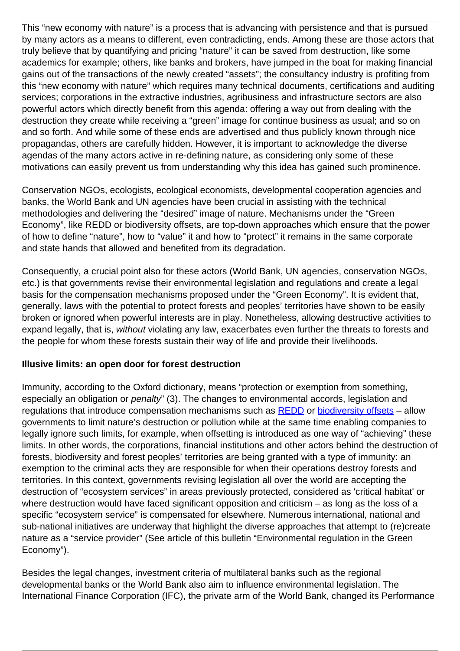This "new economy with nature" is a process that is advancing with persistence and that is pursued by many actors as a means to different, even contradicting, ends. Among these are those actors that truly believe that by quantifying and pricing "nature" it can be saved from destruction, like some academics for example; others, like banks and brokers, have jumped in the boat for making financial gains out of the transactions of the newly created "assets"; the consultancy industry is profiting from this "new economy with nature" which requires many technical documents, certifications and auditing services; corporations in the extractive industries, agribusiness and infrastructure sectors are also powerful actors which directly benefit from this agenda: offering a way out from dealing with the destruction they create while receiving a "green" image for continue business as usual; and so on and so forth. And while some of these ends are advertised and thus publicly known through nice propagandas, others are carefully hidden. However, it is important to acknowledge the diverse agendas of the many actors active in re-defining nature, as considering only some of these motivations can easily prevent us from understanding why this idea has gained such prominence.

Conservation NGOs, ecologists, ecological economists, developmental cooperation agencies and banks, the World Bank and UN agencies have been crucial in assisting with the technical methodologies and delivering the "desired" image of nature. Mechanisms under the "Green Economy", like REDD or biodiversity offsets, are top-down approaches which ensure that the power of how to define "nature", how to "value" it and how to "protect" it remains in the same corporate and state hands that allowed and benefited from its degradation.

Consequently, a crucial point also for these actors (World Bank, UN agencies, conservation NGOs, etc.) is that governments revise their environmental legislation and regulations and create a legal basis for the compensation mechanisms proposed under the "Green Economy". It is evident that, generally, laws with the potential to protect forests and peoples' territories have shown to be easily broken or ignored when powerful interests are in play. Nonetheless, allowing destructive activities to expand legally, that is, without violating any law, exacerbates even further the threats to forests and the people for whom these forests sustain their way of life and provide their livelihoods.

## **Illusive limits: an open door for forest destruction**

Immunity, according to the Oxford dictionary, means "protection or exemption from something, especially an obligation or penalty" (3). The changes to environmental accords, legislation and regulations that introduce compensation mechanisms such as [REDD](http://wrm.us9.list-manage.com/track/click?u=f91b651f7fecdf835b57dc11d&id=d346b757ef&e=f40107181e) or [biodiversity offsets](http://wrm.us9.list-manage1.com/track/click?u=f91b651f7fecdf835b57dc11d&id=3cb0958759&e=f40107181e) – allow governments to limit nature's destruction or pollution while at the same time enabling companies to legally ignore such limits, for example, when offsetting is introduced as one way of "achieving" these limits. In other words, the corporations, financial institutions and other actors behind the destruction of forests, biodiversity and forest peoples' territories are being granted with a type of immunity: an exemption to the criminal acts they are responsible for when their operations destroy forests and territories. In this context, governments revising legislation all over the world are accepting the destruction of "ecosystem services" in areas previously protected, considered as 'critical habitat' or where destruction would have faced significant opposition and criticism - as long as the loss of a specific "ecosystem service" is compensated for elsewhere. Numerous international, national and sub-national initiatives are underway that highlight the diverse approaches that attempt to (re)create nature as a "service provider" (See article of this bulletin "Environmental regulation in the Green Economy").

Besides the legal changes, investment criteria of multilateral banks such as the regional developmental banks or the World Bank also aim to influence environmental legislation. The International Finance Corporation (IFC), the private arm of the World Bank, changed its Performance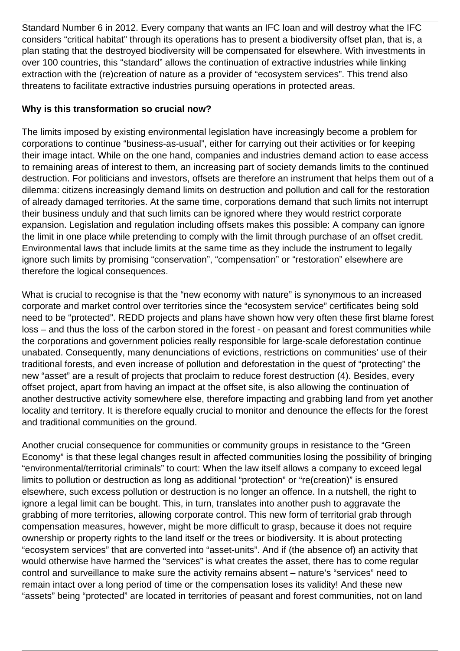Standard Number 6 in 2012. Every company that wants an IFC loan and will destroy what the IFC considers "critical habitat" through its operations has to present a biodiversity offset plan, that is, a plan stating that the destroyed biodiversity will be compensated for elsewhere. With investments in over 100 countries, this "standard" allows the continuation of extractive industries while linking extraction with the (re)creation of nature as a provider of "ecosystem services". This trend also threatens to facilitate extractive industries pursuing operations in protected areas.

## **Why is this transformation so crucial now?**

The limits imposed by existing environmental legislation have increasingly become a problem for corporations to continue "business-as-usual", either for carrying out their activities or for keeping their image intact. While on the one hand, companies and industries demand action to ease access to remaining areas of interest to them, an increasing part of society demands limits to the continued destruction. For politicians and investors, offsets are therefore an instrument that helps them out of a dilemma: citizens increasingly demand limits on destruction and pollution and call for the restoration of already damaged territories. At the same time, corporations demand that such limits not interrupt their business unduly and that such limits can be ignored where they would restrict corporate expansion. Legislation and regulation including offsets makes this possible: A company can ignore the limit in one place while pretending to comply with the limit through purchase of an offset credit. Environmental laws that include limits at the same time as they include the instrument to legally ignore such limits by promising "conservation", "compensation" or "restoration" elsewhere are therefore the logical consequences.

What is crucial to recognise is that the "new economy with nature" is synonymous to an increased corporate and market control over territories since the "ecosystem service" certificates being sold need to be "protected". REDD projects and plans have shown how very often these first blame forest loss – and thus the loss of the carbon stored in the forest - on peasant and forest communities while the corporations and government policies really responsible for large-scale deforestation continue unabated. Consequently, many denunciations of evictions, restrictions on communities' use of their traditional forests, and even increase of pollution and deforestation in the quest of "protecting" the new "asset" are a result of projects that proclaim to reduce forest destruction (4). Besides, every offset project, apart from having an impact at the offset site, is also allowing the continuation of another destructive activity somewhere else, therefore impacting and grabbing land from yet another locality and territory. It is therefore equally crucial to monitor and denounce the effects for the forest and traditional communities on the ground.

Another crucial consequence for communities or community groups in resistance to the "Green Economy" is that these legal changes result in affected communities losing the possibility of bringing "environmental/territorial criminals" to court: When the law itself allows a company to exceed legal limits to pollution or destruction as long as additional "protection" or "re(creation)" is ensured elsewhere, such excess pollution or destruction is no longer an offence. In a nutshell, the right to ignore a legal limit can be bought. This, in turn, translates into another push to aggravate the grabbing of more territories, allowing corporate control. This new form of territorial grab through compensation measures, however, might be more difficult to grasp, because it does not require ownership or property rights to the land itself or the trees or biodiversity. It is about protecting "ecosystem services" that are converted into "asset-units". And if (the absence of) an activity that would otherwise have harmed the "services" is what creates the asset, there has to come regular control and surveillance to make sure the activity remains absent – nature's "services" need to remain intact over a long period of time or the compensation loses its validity! And these new "assets" being "protected" are located in territories of peasant and forest communities, not on land